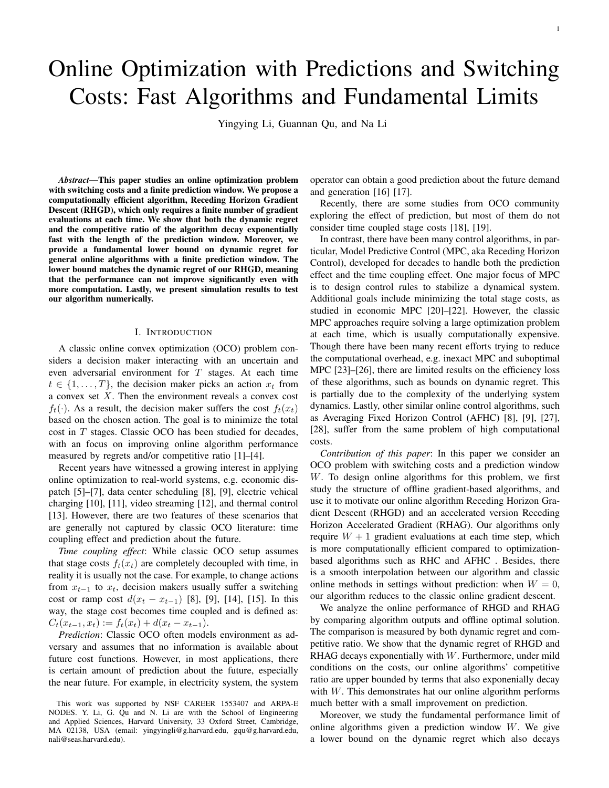# Online Optimization with Predictions and Switching Costs: Fast Algorithms and Fundamental Limits

Yingying Li, Guannan Qu, and Na Li

*Abstract*—This paper studies an online optimization problem with switching costs and a finite prediction window. We propose a computationally efficient algorithm, Receding Horizon Gradient Descent (RHGD), which only requires a finite number of gradient evaluations at each time. We show that both the dynamic regret and the competitive ratio of the algorithm decay exponentially fast with the length of the prediction window. Moreover, we provide a fundamental lower bound on dynamic regret for general online algorithms with a finite prediction window. The lower bound matches the dynamic regret of our RHGD, meaning that the performance can not improve significantly even with more computation. Lastly, we present simulation results to test our algorithm numerically.

### I. INTRODUCTION

A classic online convex optimization (OCO) problem considers a decision maker interacting with an uncertain and even adversarial environment for  $T$  stages. At each time  $t \in \{1, \ldots, T\}$ , the decision maker picks an action  $x_t$  from a convex set X. Then the environment reveals a convex cost  $f_t(\cdot)$ . As a result, the decision maker suffers the cost  $f_t(x_t)$ based on the chosen action. The goal is to minimize the total cost in T stages. Classic OCO has been studied for decades, with an focus on improving online algorithm performance measured by regrets and/or competitive ratio [1]–[4].

Recent years have witnessed a growing interest in applying online optimization to real-world systems, e.g. economic dispatch [5]–[7], data center scheduling [8], [9], electric vehical charging [10], [11], video streaming [12], and thermal control [13]. However, there are two features of these scenarios that are generally not captured by classic OCO literature: time coupling effect and prediction about the future.

*Time coupling effect*: While classic OCO setup assumes that stage costs  $f_t(x_t)$  are completely decoupled with time, in reality it is usually not the case. For example, to change actions from  $x_{t-1}$  to  $x_t$ , decision makers usually suffer a switching cost or ramp cost  $d(x_t - x_{t-1})$  [8], [9], [14], [15]. In this way, the stage cost becomes time coupled and is defined as:  $C_t(x_{t-1}, x_t) := f_t(x_t) + d(x_t - x_{t-1}).$ 

*Prediction*: Classic OCO often models environment as adversary and assumes that no information is available about future cost functions. However, in most applications, there is certain amount of prediction about the future, especially the near future. For example, in electricity system, the system operator can obtain a good prediction about the future demand and generation [16] [17].

Recently, there are some studies from OCO community exploring the effect of prediction, but most of them do not consider time coupled stage costs [18], [19].

In contrast, there have been many control algorithms, in particular, Model Predictive Control (MPC, aka Receding Horizon Control), developed for decades to handle both the prediction effect and the time coupling effect. One major focus of MPC is to design control rules to stabilize a dynamical system. Additional goals include minimizing the total stage costs, as studied in economic MPC [20]–[22]. However, the classic MPC approaches require solving a large optimization problem at each time, which is usually computationally expensive. Though there have been many recent efforts trying to reduce the computational overhead, e.g. inexact MPC and suboptimal MPC [23]–[26], there are limited results on the efficiency loss of these algorithms, such as bounds on dynamic regret. This is partially due to the complexity of the underlying system dynamics. Lastly, other similar online control algorithms, such as Averaging Fixed Horizon Control (AFHC) [8], [9], [27], [28], suffer from the same problem of high computational costs.

*Contribution of this paper*: In this paper we consider an OCO problem with switching costs and a prediction window W. To design online algorithms for this problem, we first study the structure of offline gradient-based algorithms, and use it to motivate our online algorithm Receding Horizon Gradient Descent (RHGD) and an accelerated version Receding Horizon Accelerated Gradient (RHAG). Our algorithms only require  $W + 1$  gradient evaluations at each time step, which is more computationally efficient compared to optimizationbased algorithms such as RHC and AFHC . Besides, there is a smooth interpolation between our algorithm and classic online methods in settings without prediction: when  $W = 0$ , our algorithm reduces to the classic online gradient descent.

We analyze the online performance of RHGD and RHAG by comparing algorithm outputs and offline optimal solution. The comparison is measured by both dynamic regret and competitive ratio. We show that the dynamic regret of RHGD and RHAG decays exponentially with W. Furthermore, under mild conditions on the costs, our online algorithms' competitive ratio are upper bounded by terms that also exponenially decay with  $W$ . This demonstrates hat our online algorithm performs much better with a small improvement on prediction.

Moreover, we study the fundamental performance limit of online algorithms given a prediction window  $W$ . We give a lower bound on the dynamic regret which also decays

This work was supported by NSF CAREER 1553407 and ARPA-E NODES. Y. Li, G. Qu and N. Li are with the School of Engineering and Applied Sciences, Harvard University, 33 Oxford Street, Cambridge, MA 02138, USA (email: yingyingli@g.harvard.edu, gqu@g.harvard.edu, nali@seas.harvard.edu).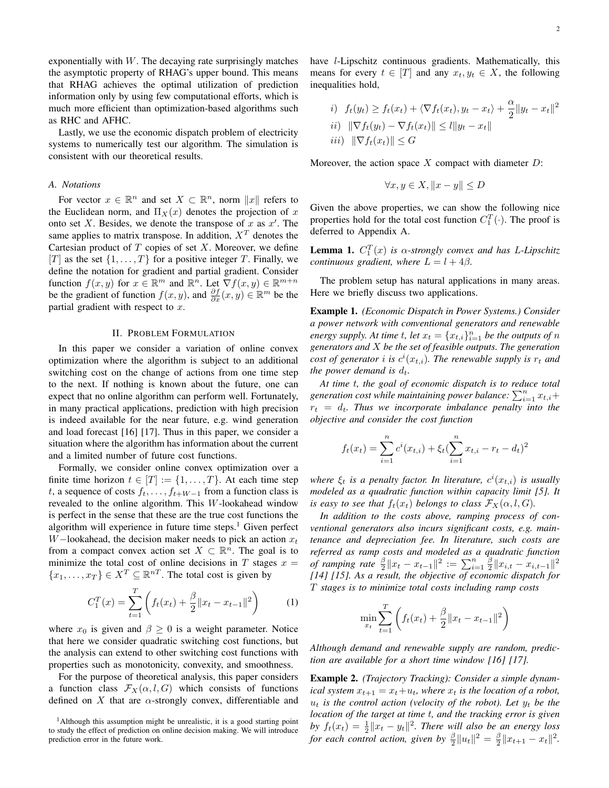exponentially with  $W$ . The decaying rate surprisingly matches the asymptotic property of RHAG's upper bound. This means that RHAG achieves the optimal utilization of prediction information only by using few computational efforts, which is much more efficient than optimization-based algorithms such as RHC and AFHC.

Lastly, we use the economic dispatch problem of electricity systems to numerically test our algorithm. The simulation is consistent with our theoretical results.

## *A. Notations*

For vector  $x \in \mathbb{R}^n$  and set  $X \subset \mathbb{R}^n$ , norm  $||x||$  refers to the Euclidean norm, and  $\Pi_X(x)$  denotes the projection of x onto set X. Besides, we denote the transpose of  $x$  as  $x'$ . The same applies to matrix transpose. In addition,  $X<sup>T</sup>$  denotes the Cartesian product of  $T$  copies of set  $X$ . Moreover, we define  $[T]$  as the set  $\{1, \ldots, T\}$  for a positive integer T. Finally, we define the notation for gradient and partial gradient. Consider function  $f(x, y)$  for  $x \in \mathbb{R}^m$  and  $\mathbb{R}^n$ . Let  $\nabla f(x, y) \in \mathbb{R}^{m+n}$ be the gradient of function  $f(x, y)$ , and  $\frac{\partial f}{\partial x}(x, y) \in \mathbb{R}^m$  be the partial gradient with respect to  $x$ .

# II. PROBLEM FORMULATION

In this paper we consider a variation of online convex optimization where the algorithm is subject to an additional switching cost on the change of actions from one time step to the next. If nothing is known about the future, one can expect that no online algorithm can perform well. Fortunately, in many practical applications, prediction with high precision is indeed available for the near future, e.g. wind generation and load forecast [16] [17]. Thus in this paper, we consider a situation where the algorithm has information about the current and a limited number of future cost functions.

Formally, we consider online convex optimization over a finite time horizon  $t \in [T] := \{1, \ldots, T\}$ . At each time step t, a sequence of costs  $f_t, \ldots, f_{t+W-1}$  from a function class is revealed to the online algorithm. This W-lookahead window is perfect in the sense that these are the true cost functions the algorithm will experience in future time steps.<sup>1</sup> Given perfect W–lookahead, the decision maker needs to pick an action  $x_t$ from a compact convex action set  $X \subset \mathbb{R}^n$ . The goal is to minimize the total cost of online decisions in  $T$  stages  $x =$  ${x_1, \ldots, x_T} \in X^T \subseteq \mathbb{R}^{nT}$ . The total cost is given by

$$
C_1^T(x) = \sum_{t=1}^T \left( f_t(x_t) + \frac{\beta}{2} ||x_t - x_{t-1}||^2 \right) \tag{1}
$$

where  $x_0$  is given and  $\beta \geq 0$  is a weight parameter. Notice that here we consider quadratic switching cost functions, but the analysis can extend to other switching cost functions with properties such as monotonicity, convexity, and smoothness.

For the purpose of theoretical analysis, this paper considers a function class  $\mathcal{F}_X(\alpha, l, G)$  which consists of functions defined on  $X$  that are  $\alpha$ -strongly convex, differentiable and have l-Lipschitz continuous gradients. Mathematically, this means for every  $t \in [T]$  and any  $x_t, y_t \in X$ , the following inequalities hold,

*i)* 
$$
f_t(y_t) \geq f_t(x_t) + \langle \nabla f_t(x_t), y_t - x_t \rangle + \frac{\alpha}{2} ||y_t - x_t||^2
$$
  
\n*ii)*  $\|\nabla f_t(y_t) - \nabla f_t(x_t)\| \leq l ||y_t - x_t||$   
\n*iii)*  $\|\nabla f_t(x_t)\| \leq G$ 

Moreover, the action space  $X$  compact with diameter  $D$ :

$$
\forall x, y \in X, \|x - y\| \le D
$$

Given the above properties, we can show the following nice properties hold for the total cost function  $C_1^T(\cdot)$ . The proof is deferred to Appendix A.

**Lemma 1.**  $C_1^T(x)$  is  $\alpha$ -strongly convex and has L-Lipschitz *continuous gradient, where*  $L = l + 4\beta$ .

The problem setup has natural applications in many areas. Here we briefly discuss two applications.

Example 1. *(Economic Dispatch in Power Systems.) Consider a power network with conventional generators and renewable energy supply. At time t, let*  $x_t = \{x_{t,i}\}_{i=1}^n$  *be the outputs of*  $n$ *generators and* X *be the set of feasible outputs. The generation cost of generator i is*  $c^{i}(x_{t,i})$ *. The renewable supply is*  $r_t$  *and the power demand is*  $d_t$ .

*At time* t*, the goal of economic dispatch is to reduce total* generation cost while maintaining power balance:  $\sum_{i=1}^{n} x_{t,i} +$  $r_t = d_t$ . Thus we incorporate imbalance penalty into the *objective and consider the cost function*

$$
f_t(x_t) = \sum_{i=1}^n c^i(x_{t,i}) + \xi_t (\sum_{i=1}^n x_{t,i} - r_t - d_t)^2
$$

where  $\xi_t$  is a penalty factor. In literature,  $c^i(x_{t,i})$  is usually *modeled as a quadratic function within capacity limit [5]. It is easy to see that*  $f_t(x_t)$  *belongs to class*  $\mathcal{F}_X(\alpha, l, G)$ *.* 

*In addition to the costs above, ramping process of conventional generators also incurs significant costs, e.g. maintenance and depreciation fee. In literature, such costs are referred as ramp costs and modeled as a quadratic function of ramping rate*  $\frac{\beta}{2} \|x_t - x_{t-1}\|^2 := \sum_{i=1}^n \frac{\beta}{2} \|x_{i,t} - x_{i,t-1}\|^2$ *[14] [15]. As a result, the objective of economic dispatch for* T *stages is to minimize total costs including ramp costs*

$$
\min_{x_t} \sum_{t=1}^T \left( f_t(x_t) + \frac{\beta}{2} ||x_t - x_{t-1}||^2 \right)
$$

*Although demand and renewable supply are random, prediction are available for a short time window [16] [17].*

Example 2. *(Trajectory Tracking): Consider a simple dynamical system*  $x_{t+1} = x_t + u_t$ *, where*  $x_t$  *is the location of a robot,*  $u_t$  *is the control action (velocity of the robot). Let*  $y_t$  *be the location of the target at time* t*, and the tracking error is given by*  $f_t(x_t) = \frac{1}{2} ||x_t - y_t||^2$ . There will also be an energy loss *for each control action, given by*  $\frac{\beta}{2}||u_t||^2 = \frac{\beta}{2}||x_{t+1} - x_t||^2$ .

<sup>&</sup>lt;sup>1</sup>Although this assumption might be unrealistic, it is a good starting point to study the effect of prediction on online decision making. We will introduce prediction error in the future work.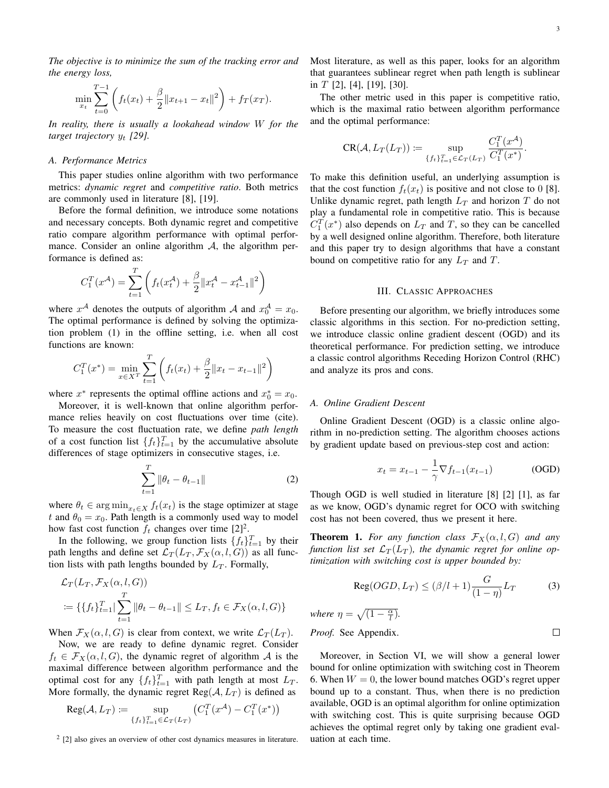*The objective is to minimize the sum of the tracking error and the energy loss,*

$$
\min_{x_t} \sum_{t=0}^{T-1} \left( f_t(x_t) + \frac{\beta}{2} ||x_{t+1} - x_t||^2 \right) + f_T(x_T).
$$

*In reality, there is usually a lookahead window* W *for the target trajectory*  $y_t$  [29].

# *A. Performance Metrics*

This paper studies online algorithm with two performance metrics: *dynamic regret* and *competitive ratio*. Both metrics are commonly used in literature [8], [19].

Before the formal definition, we introduce some notations and necessary concepts. Both dynamic regret and competitive ratio compare algorithm performance with optimal performance. Consider an online algorithm  $A$ , the algorithm performance is defined as:

$$
C_1^T(x^{\mathcal{A}})=\sum_{t=1}^T \left(f_t(x_t^{\mathcal{A}})+\frac{\beta}{2}\|x_t^{\mathcal{A}}-x_{t-1}^{\mathcal{A}}\|^2\right)
$$

where  $x^{\mathcal{A}}$  denotes the outputs of algorithm  $\mathcal{A}$  and  $x_0^{\mathcal{A}} = x_0$ . The optimal performance is defined by solving the optimization problem (1) in the offline setting, i.e. when all cost functions are known:

$$
C_1^T(x^*) = \min_{x \in X^T} \sum_{t=1}^T \left( f_t(x_t) + \frac{\beta}{2} ||x_t - x_{t-1}||^2 \right)
$$

where  $x^*$  represents the optimal offline actions and  $x_0^* = x_0$ .

Moreover, it is well-known that online algorithm performance relies heavily on cost fluctuations over time (cite). To measure the cost fluctuation rate, we define *path length* of a cost function list  $\{f_t\}_{t=1}^T$  by the accumulative absolute differences of stage optimizers in consecutive stages, i.e.

$$
\sum_{t=1}^{T} \|\theta_t - \theta_{t-1}\|
$$
 (2)

where  $\theta_t \in \arg\min_{x_t \in X} f_t(x_t)$  is the stage optimizer at stage t and  $\theta_0 = x_0$ . Path length is a commonly used way to model how fast cost function  $f_t$  changes over time  $[2]^2$ .

In the following, we group function lists  $\{f_t\}_{t=1}^T$  by their path lengths and define set  $\mathcal{L}_T(L_T, \mathcal{F}_X(\alpha, l, G))$  as all function lists with path lengths bounded by  $L_T$ . Formally,

$$
\mathcal{L}_T(L_T, \mathcal{F}_X(\alpha, l, G))
$$
  

$$
\coloneqq \{ \{ f_t \}_{t=1}^T | \sum_{t=1}^T \|\theta_t - \theta_{t-1}\| \le L_T, f_t \in \mathcal{F}_X(\alpha, l, G) \}
$$

When  $\mathcal{F}_X(\alpha, l, G)$  is clear from context, we write  $\mathcal{L}_T(L_T)$ .

Now, we are ready to define dynamic regret. Consider  $f_t \in \mathcal{F}_X(\alpha, l, G)$ , the dynamic regret of algorithm A is the maximal difference between algorithm performance and the optimal cost for any  $\{f_t\}_{t=1}^T$  with path length at most  $L_T$ . More formally, the dynamic regret  $Reg(A, L_T)$  is defined as

$$
\operatorname{Reg}(\mathcal{A}, L_T) := \sup_{\{f_t\}_{t=1}^T \in \mathcal{L}_T(L_T)} \left( C_1^T(x^{\mathcal{A}}) - C_1^T(x^*) \right)
$$

2 [2] also gives an overview of other cost dynamics measures in literature.

Most literature, as well as this paper, looks for an algorithm that guarantees sublinear regret when path length is sublinear in  $T$  [2], [4], [19], [30].

The other metric used in this paper is competitive ratio, which is the maximal ratio between algorithm performance and the optimal performance:

$$
CR(\mathcal{A}, L_T(L_T)) \coloneqq \sup_{\{f_t\}_{t=1}^T \in \mathcal{L}_T(L_T)} \frac{C_1^T(x^{\mathcal{A}})}{C_1^T(x^*)}.
$$

To make this definition useful, an underlying assumption is that the cost function  $f_t(x_t)$  is positive and not close to 0 [8]. Unlike dynamic regret, path length  $L_T$  and horizon  $T$  do not play a fundamental role in competitive ratio. This is because  $C_1^T(x^*)$  also depends on  $L_T$  and T, so they can be cancelled by a well designed online algorithm. Therefore, both literature and this paper try to design algorithms that have a constant bound on competitive ratio for any  $L_T$  and T.

## III. CLASSIC APPROACHES

Before presenting our algorithm, we briefly introduces some classic algorithms in this section. For no-prediction setting, we introduce classic online gradient descent (OGD) and its theoretical performance. For prediction setting, we introduce a classic control algorithms Receding Horizon Control (RHC) and analyze its pros and cons.

### *A. Online Gradient Descent*

Online Gradient Descent (OGD) is a classic online algorithm in no-prediction setting. The algorithm chooses actions by gradient update based on previous-step cost and action:

$$
x_t = x_{t-1} - \frac{1}{\gamma} \nabla f_{t-1}(x_{t-1})
$$
 (OGD)

Though OGD is well studied in literature [8] [2] [1], as far as we know, OGD's dynamic regret for OCO with switching cost has not been covered, thus we present it here.

**Theorem 1.** For any function class  $\mathcal{F}_X(\alpha, l, G)$  and any *function list set*  $\mathcal{L}_T(L_T)$ *, the dynamic regret for online optimization with switching cost is upper bounded by:*

$$
Reg(OGD, L_T) \le (\beta/l + 1) \frac{G}{(1 - \eta)} L_T \tag{3}
$$

 $\Box$ 

*where*  $\eta = \sqrt{\left(1 - \frac{\alpha}{l}\right)}$ .

*Proof.* See Appendix.

Moreover, in Section VI, we will show a general lower bound for online optimization with switching cost in Theorem 6. When  $W = 0$ , the lower bound matches OGD's regret upper bound up to a constant. Thus, when there is no prediction available, OGD is an optimal algorithm for online optimization with switching cost. This is quite surprising because OGD achieves the optimal regret only by taking one gradient evaluation at each time.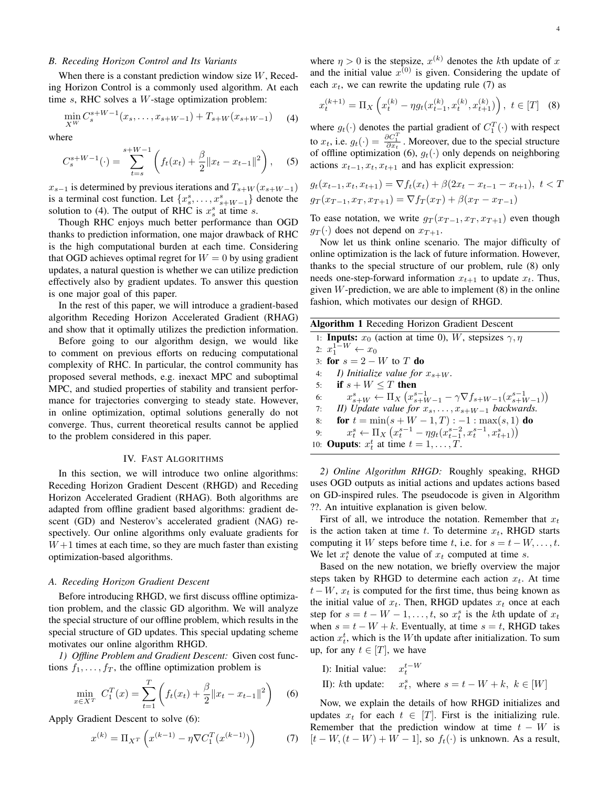# *B. Receding Horizon Control and Its Variants*

When there is a constant prediction window size  $W$ , Receding Horizon Control is a commonly used algorithm. At each time s, RHC solves a W-stage optimization problem:

$$
\min_{X^W} C_s^{s+W-1}(x_s, \dots, x_{s+W-1}) + T_{s+W}(x_{s+W-1})
$$
 (4)

where

$$
C_s^{s+W-1}(\cdot) = \sum_{t=s}^{s+W-1} \left( f_t(x_t) + \frac{\beta}{2} \|x_t - x_{t-1}\|^2 \right), \quad (5)
$$

 $x_{s-1}$  is determined by previous iterations and  $T_{s+W}(x_{s+W-1})$ is a terminal cost function. Let  $\{x_s^s, \ldots, x_{s+W-1}^s\}$  denote the solution to (4). The output of RHC is  $x_s^s$  at time s.

Though RHC enjoys much better performance than OGD thanks to prediction information, one major drawback of RHC is the high computational burden at each time. Considering that OGD achieves optimal regret for  $W = 0$  by using gradient updates, a natural question is whether we can utilize prediction effectively also by gradient updates. To answer this question is one major goal of this paper.

In the rest of this paper, we will introduce a gradient-based algorithm Receding Horizon Accelerated Gradient (RHAG) and show that it optimally utilizes the prediction information.

Before going to our algorithm design, we would like to comment on previous efforts on reducing computational complexity of RHC. In particular, the control community has proposed several methods, e.g. inexact MPC and suboptimal MPC, and studied properties of stability and transient performance for trajectories converging to steady state. However, in online optimization, optimal solutions generally do not converge. Thus, current theoretical results cannot be applied to the problem considered in this paper.

#### IV. FAST ALGORITHMS

In this section, we will introduce two online algorithms: Receding Horizon Gradient Descent (RHGD) and Receding Horizon Accelerated Gradient (RHAG). Both algorithms are adapted from offline gradient based algorithms: gradient descent (GD) and Nesterov's accelerated gradient (NAG) respectively. Our online algorithms only evaluate gradients for  $W+1$  times at each time, so they are much faster than existing optimization-based algorithms.

#### *A. Receding Horizon Gradient Descent*

Before introducing RHGD, we first discuss offline optimization problem, and the classic GD algorithm. We will analyze the special structure of our offline problem, which results in the special structure of GD updates. This special updating scheme motivates our online algorithm RHGD.

*1) Offline Problem and Gradient Descent:* Given cost functions  $f_1, \ldots, f_T$ , the offline optimization problem is

$$
\min_{x \in X^T} C_1^T(x) = \sum_{t=1}^T \left( f_t(x_t) + \frac{\beta}{2} \| x_t - x_{t-1} \|^2 \right) \tag{6}
$$

Apply Gradient Descent to solve (6):

$$
x^{(k)} = \Pi_{X^T} \left( x^{(k-1)} - \eta \nabla C_1^T (x^{(k-1)}) \right) \tag{7}
$$

where  $\eta > 0$  is the stepsize,  $x^{(k)}$  denotes the kth update of x and the initial value  $x^{(0)}$  is given. Considering the update of each  $x_t$ , we can rewrite the updating rule (7) as

$$
x_t^{(k+1)} = \Pi_X \left( x_t^{(k)} - \eta g_t(x_{t-1}^{(k)}, x_t^{(k)}, x_{t+1}^{(k)}) \right), \ t \in [T] \quad (8)
$$

where  $g_t(\cdot)$  denotes the partial gradient of  $C_1^T(\cdot)$  with respect to  $x_t$ , i.e.  $g_t(\cdot) = \frac{\partial C_1^T}{\partial x_t}$ . Moreover, due to the special structure of offline optimization (6),  $g_t(\cdot)$  only depends on neighboring actions  $x_{t-1}, x_t, x_{t+1}$  and has explicit expression:

$$
g_t(x_{t-1}, x_t, x_{t+1}) = \nabla f_t(x_t) + \beta(2x_t - x_{t-1} - x_{t+1}), \ t < T
$$

$$
g_T(x_{T-1}, x_T, x_{T+1}) = \nabla f_T(x_T) + \beta(x_T - x_{T-1})
$$

To ease notation, we write  $g_T(x_{T-1}, x_T, x_{T+1})$  even though  $g_T(\cdot)$  does not depend on  $x_{T+1}$ .

Now let us think online scenario. The major difficulty of online optimization is the lack of future information. However, thanks to the special structure of our problem, rule (8) only needs one-step-forward information  $x_{t+1}$  to update  $x_t$ . Thus, given  $W$ -prediction, we are able to implement  $(8)$  in the online fashion, which motivates our design of RHGD.

| <b>Algorithm 1</b> Receding Horizon Gradient Descent                                                    |  |  |  |
|---------------------------------------------------------------------------------------------------------|--|--|--|
| 1: <b>Inputs:</b> $x_0$ (action at time 0), W, stepsizes $\gamma$ , $\eta$                              |  |  |  |
| 2: $x_1^{1-W} \leftarrow x_0$                                                                           |  |  |  |
| 3: for $s = 2 - W$ to T do                                                                              |  |  |  |
| 4: I) Initialize value for $x_{s+W}$ .                                                                  |  |  |  |
| 5: if $s+W \leq T$ then                                                                                 |  |  |  |
| $x_{s+W}^s \leftarrow \Pi_X \left( x_{s+W-1}^{s-1} - \gamma \nabla f_{s+W-1} (x_{s+W-1}^{s-1}) \right)$ |  |  |  |
| II) Update value for $x_s, \ldots, x_{s+W-1}$ backwards.<br>7:                                          |  |  |  |
| for $t = \min(s + W - 1, T) : -1 : \max(s, 1)$ do                                                       |  |  |  |
| $x_t^s \leftarrow \Pi_X(x_t^{s-1} - \eta g_t(x_{t-1}^{s-2}, x_t^{s-1}, x_{t+1}^s))$                     |  |  |  |
| 10: <b>Ouputs</b> : $x_t^t$ at time $t = 1, \ldots, T$ .                                                |  |  |  |
|                                                                                                         |  |  |  |

*2) Online Algorithm RHGD:* Roughly speaking, RHGD uses OGD outputs as initial actions and updates actions based on GD-inspired rules. The pseudocode is given in Algorithm ??. An intuitive explanation is given below.

First of all, we introduce the notation. Remember that  $x_t$ is the action taken at time  $t$ . To determine  $x_t$ , RHGD starts computing it W steps before time t, i.e. for  $s = t - W, \ldots, t$ . We let  $x_t^s$  denote the value of  $x_t$  computed at time s.

Based on the new notation, we briefly overview the major steps taken by RHGD to determine each action  $x_t$ . At time  $t - W$ ,  $x_t$  is computed for the first time, thus being known as the initial value of  $x_t$ . Then, RHGD updates  $x_t$  once at each step for  $s = t - W - 1, \ldots, t$ , so  $x_t^s$  is the kth update of  $x_t$ when  $s = t - W + k$ . Eventually, at time  $s = t$ , RHGD takes action  $x_t^t$ , which is the Wth update after initialization. To sum up, for any  $t \in [T]$ , we have

\n- I): Initial value: 
$$
x_t^{t-W}
$$
\n- II): kth update:  $x_t^s$ , where  $s = t - W + k$ ,  $k \in [W]$
\n

Now, we explain the details of how RHGD initializes and updates  $x_t$  for each  $t \in [T]$ . First is the initializing rule. Remember that the prediction window at time  $t - W$  is  $[t - W, (t - W) + W - 1]$ , so  $f_t(\cdot)$  is unknown. As a result,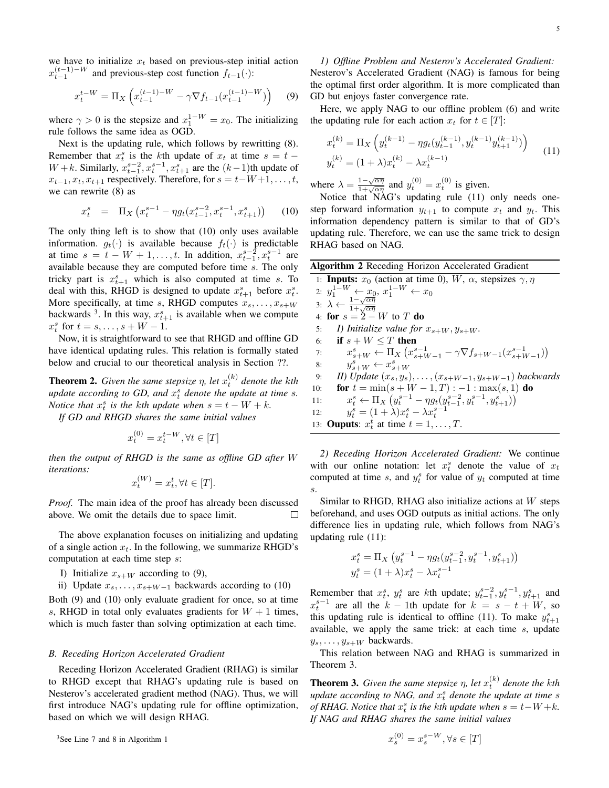we have to initialize  $x_t$  based on previous-step initial action  $x_{t-1}^{(t-1)-W}$  and previous-step cost function  $f_{t-1}(\cdot)$ :

$$
x_t^{t-W} = \Pi_X \left( x_{t-1}^{(t-1)-W} - \gamma \nabla f_{t-1} (x_{t-1}^{(t-1)-W}) \right) \tag{9}
$$

where  $\gamma > 0$  is the stepsize and  $x_1^{1-W} = x_0$ . The initializing rule follows the same idea as OGD.

Next is the updating rule, which follows by rewritting (8). Remember that  $x_t^s$  is the kth update of  $x_t$  at time  $s = t W+k$ . Similarly,  $x_{t-1}^{s-2}, x_t^{s-1}, x_{t+1}^s$  are the  $(k-1)$ th update of  $x_{t-1}, x_t, x_{t+1}$  respectively. Therefore, for  $s = t-W+1, \ldots, t$ , we can rewrite (8) as

$$
x_t^s = \Pi_X \left( x_t^{s-1} - \eta g_t(x_{t-1}^{s-2}, x_t^{s-1}, x_{t+1}^s) \right) \tag{10}
$$

The only thing left is to show that (10) only uses available information.  $g_t(\cdot)$  is available because  $f_t(\cdot)$  is predictable at time  $s = t - W + 1, \ldots, t$ . In addition,  $x_{t-1}^{s-2}, x_t^{s-1}$  are available because they are computed before time s. The only tricky part is  $x_{t+1}^s$  which is also computed at time s. To deal with this, RHGD is designed to update  $x_{t+1}^s$  before  $x_t^s$ . More specifically, at time s, RHGD computes  $x_s, \ldots, x_{s+W}$ backwards <sup>3</sup>. In this way,  $x_{t+1}^s$  is available when we compute  $x_t^s$  for  $t = s, ..., s + W - 1$ .

Now, it is straightforward to see that RHGD and offline GD have identical updating rules. This relation is formally stated below and crucial to our theoretical analysis in Section ??.

**Theorem 2.** *Given the same stepsize*  $\eta$ , *let*  $x_t^{(k)}$  *denote the kth*  $\mu$ *pdate according to GD, and*  $x_t^s$  *denote the update at time s. Notice that*  $x_t^s$  *is the kth update when*  $s = t - W + k$ *.* 

*If GD and RHGD shares the same initial values*

$$
x_t^{(0)} = x_t^{t-W}, \forall t \in [T]
$$

*then the output of RHGD is the same as offline GD after* W *iterations:*  $(1)$ 

$$
x_t^{(W)} = x_t^t, \forall t \in [T].
$$

*Proof.* The main idea of the proof has already been discussed above. We omit the details due to space limit.

The above explanation focuses on initializing and updating of a single action  $x_t$ . In the following, we summarize RHGD's computation at each time step s:

I) Initialize  $x_{s+W}$  according to (9),

ii) Update  $x_s, \ldots, x_{s+W-1}$  backwards according to (10)

Both (9) and (10) only evaluate gradient for once, so at time s, RHGD in total only evaluates gradients for  $W + 1$  times, which is much faster than solving optimization at each time.

#### *B. Receding Horizon Accelerated Gradient*

Receding Horizon Accelerated Gradient (RHAG) is similar to RHGD except that RHAG's updating rule is based on Nesterov's accelerated gradient method (NAG). Thus, we will first introduce NAG's updating rule for offline optimization, based on which we will design RHAG.

<sup>3</sup>See Line 7 and 8 in Algorithm 1

*1) Offline Problem and Nesterov's Accelerated Gradient:* Nesterov's Accelerated Gradient (NAG) is famous for being the optimal first order algorithm. It is more complicated than GD but enjoys faster convergence rate.

Here, we apply NAG to our offline problem (6) and write the updating rule for each action  $x_t$  for  $t \in [T]$ :

$$
x_t^{(k)} = \Pi_X \left( y_t^{(k-1)} - \eta g_t(y_{t-1}^{(k-1)}, y_t^{(k-1)} y_{t+1}^{(k-1)}) \right)
$$
  

$$
y_t^{(k)} = (1 + \lambda) x_t^{(k)} - \lambda x_t^{(k-1)}
$$
 (11)

where  $\lambda = \frac{1 - \sqrt{\alpha \eta}}{1 + \sqrt{\alpha \eta}}$  $\frac{1-\sqrt{\alpha\eta}}{1+\sqrt{\alpha\eta}}$  and  $y_t^{(0)} = x_t^{(0)}$  is given.

Notice that NAG's updating rule (11) only needs onestep forward information  $y_{t+1}$  to compute  $x_t$  and  $y_t$ . This information dependency pattern is similar to that of GD's updating rule. Therefore, we can use the same trick to design RHAG based on NAG.

| Algorithm 2 Receding Horizon Accelerated Gradient                                                             |  |  |  |
|---------------------------------------------------------------------------------------------------------------|--|--|--|
| 1: <b>Inputs:</b> $x_0$ (action at time 0), W, $\alpha$ , stepsizes $\gamma$ , $\eta$                         |  |  |  |
| 2: $y_1^{1-W} \leftarrow x_0, x_1^{1-W} \leftarrow x_0$                                                       |  |  |  |
| 3: $\lambda \leftarrow \frac{1-\sqrt{\alpha\eta}}{1+\sqrt{\alpha\eta}}$                                       |  |  |  |
| 4: for $s = 2 - W$ to T do                                                                                    |  |  |  |
| I) Initialize value for $x_{s+W}$ , $y_{s+W}$ .<br>5:                                                         |  |  |  |
| if $s+W \leq T$ then<br>6:                                                                                    |  |  |  |
| $x_{s+W}^s \leftarrow \Pi_X \left( x_{s+W-1}^{s-1} - \gamma \nabla f_{s+W-1} (x_{s+W-1}^{s-1}) \right)$<br>7: |  |  |  |
| $y^s_{s+W} \leftarrow x^s_{s+W}$<br>8:                                                                        |  |  |  |
| II) Update $(x_s, y_s)$ , , $(x_{s+W-1}, y_{s+W-1})$ backwards<br>9:                                          |  |  |  |
| for $t = \min(s + W - 1, T) : -1 : \max(s, 1)$ do<br>10:                                                      |  |  |  |
| $x_t^s \leftarrow \Pi_X \left( y_t^{s-1} - \eta g_t(y_{t-1}^{s-2}, y_t^{s-1}, y_{t+1}^s) \right)$<br>11:      |  |  |  |
| $y_t^s = (1 + \lambda)x_t^s - \lambda x_t^{s-1}$<br>12:                                                       |  |  |  |
| <b>Ouputs:</b> $x_t^t$ at time $t = 1, \ldots, T$ .<br>13:                                                    |  |  |  |

*2) Receding Horizon Accelerated Gradient:* We continue with our online notation: let  $x_t^s$  denote the value of  $x_t$ computed at time s, and  $y_t^s$  for value of  $y_t$  computed at time s.

Similar to RHGD, RHAG also initialize actions at  $W$  steps beforehand, and uses OGD outputs as initial actions. The only difference lies in updating rule, which follows from NAG's updating rule (11):

$$
x_t^s = \Pi_X \left( y_t^{s-1} - \eta g_t(y_{t-1}^{s-2}, y_t^{s-1}, y_{t+1}^s) \right)
$$
  

$$
y_t^s = (1 + \lambda)x_t^s - \lambda x_t^{s-1}
$$

Remember that  $x_t^s$ ,  $y_t^s$  are kth update;  $y_{t-1}^{s-2}, y_t^{s-1}, y_{t+1}^s$  and  $x_t^{s-1}$  are all the  $k-1$ th update for  $k = s-t+W$ , so this updating rule is identical to offline (11). To make  $y_{t+1}^s$ available, we apply the same trick: at each time  $s$ , update  $y_s, \ldots, y_{s+W}$  backwards.

This relation between NAG and RHAG is summarized in Theorem 3.

**Theorem 3.** Given the same stepsize  $\eta$ , let  $x_t^{(k)}$  denote the kth update according to NAG, and  $x_t^s$  denote the update at time  $s$ *of RHAG. Notice that*  $x_t^s$  *is the kth update when*  $s = t - W + k$ *. If NAG and RHAG shares the same initial values*

$$
x_s^{(0)} = x_s^{s-W}, \forall s \in [T]
$$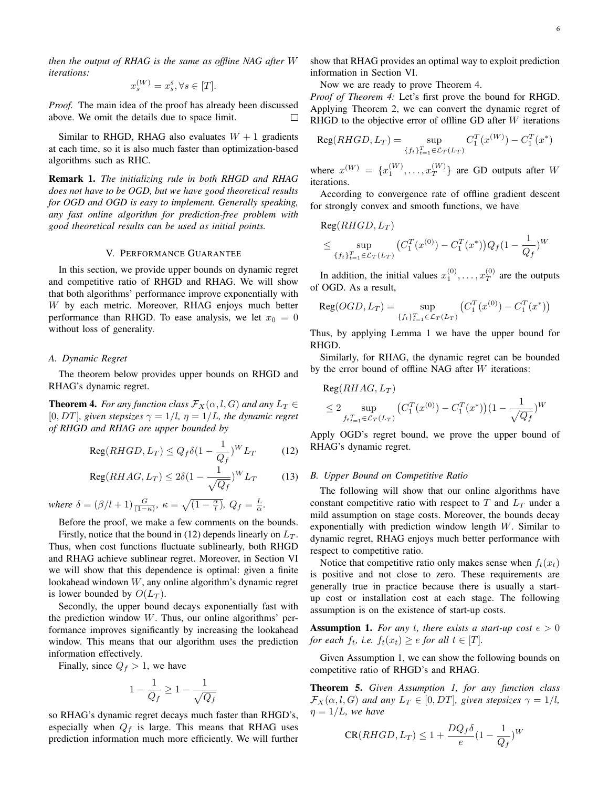*then the output of RHAG is the same as offline NAG after* W *iterations:*  $(T)$ 

$$
x_s^{(W)} = x_s^s, \forall s \in [T].
$$

*Proof.* The main idea of the proof has already been discussed above. We omit the details due to space limit.  $\Box$ 

Similar to RHGD, RHAG also evaluates  $W + 1$  gradients at each time, so it is also much faster than optimization-based algorithms such as RHC.

Remark 1. *The initializing rule in both RHGD and RHAG does not have to be OGD, but we have good theoretical results for OGD and OGD is easy to implement. Generally speaking, any fast online algorithm for prediction-free problem with good theoretical results can be used as initial points.*

#### V. PERFORMANCE GUARANTEE

In this section, we provide upper bounds on dynamic regret and competitive ratio of RHGD and RHAG. We will show that both algorithms' performance improve exponentially with W by each metric. Moreover, RHAG enjoys much better performance than RHGD. To ease analysis, we let  $x_0 = 0$ without loss of generality.

## *A. Dynamic Regret*

The theorem below provides upper bounds on RHGD and RHAG's dynamic regret.

**Theorem 4.** *For any function class*  $\mathcal{F}_X(\alpha, l, G)$  *and any*  $L_T \in$ [0, DT], given stepsizes  $\gamma = 1/l$ ,  $\eta = 1/L$ , the dynamic regret *of RHGD and RHAG are upper bounded by*

$$
\text{Reg}(RHGD, L_T) \le Q_f \delta (1 - \frac{1}{Q_f})^W L_T \tag{12}
$$

$$
\text{Reg}(RHAG, L_T) \le 2\delta \left(1 - \frac{1}{\sqrt{Q_f}}\right)^W L_T \tag{13}
$$

*where*  $\delta = (\beta/l + 1) \frac{G}{(1-\kappa)}, \ \kappa = \sqrt{(1-\frac{\alpha}{l})}, \ Q_f = \frac{L}{\alpha}.$ 

Before the proof, we make a few comments on the bounds.

Firstly, notice that the bound in (12) depends linearly on  $L_T$ . Thus, when cost functions fluctuate sublinearly, both RHGD and RHAG achieve sublinear regret. Moreover, in Section VI we will show that this dependence is optimal: given a finite lookahead windown W, any online algorithm's dynamic regret is lower bounded by  $O(L_T)$ .

Secondly, the upper bound decays exponentially fast with the prediction window  $W$ . Thus, our online algorithms' performance improves significantly by increasing the lookahead window. This means that our algorithm uses the prediction information effectively.

Finally, since  $Q_f > 1$ , we have

$$
1 - \frac{1}{Q_f} \ge 1 - \frac{1}{\sqrt{Q_f}}
$$

so RHAG's dynamic regret decays much faster than RHGD's, especially when  $Q_f$  is large. This means that RHAG uses prediction information much more efficiently. We will further show that RHAG provides an optimal way to exploit prediction information in Section VI.

Now we are ready to prove Theorem 4.

*Proof of Theorem 4:* Let's first prove the bound for RHGD. Applying Theorem 2, we can convert the dynamic regret of RHGD to the objective error of offline GD after  $W$  iterations

$$
Reg(RHGD, L_T) = \sup_{\{f_t\}_{t=1}^T \in \mathcal{L}_T(L_T)} C_1^T(x^{(W)}) - C_1^T(x^*)
$$

where  $x^{(W)} = \{x_1^{(W)}, \ldots, x_T^{(W)}\}$  $\binom{W}{T}$  are GD outputs after W iterations.

According to convergence rate of offline gradient descent for strongly convex and smooth functions, we have

Reg(RHGD, L\_T)  
\n
$$
\leq \sup_{\{f_t\}_{t=1}^T \in \mathcal{L}_T(L_T)} \left( C_1^T(x^{(0)}) - C_1^T(x^*) \right) Q_f (1 - \frac{1}{Q_f})^W
$$

In addition, the initial values  $x_1^{(0)}, \ldots, x_T^{(0)}$  $T^{(0)}$  are the outputs of OGD. As a result,

$$
Reg(OGD, L_T) = \sup_{\{f_t\}_{t=1}^T \in \mathcal{L}_T(L_T)} (C_1^T(x^{(0)}) - C_1^T(x^*))
$$

Thus, by applying Lemma 1 we have the upper bound for RHGD.

Similarly, for RHAG, the dynamic regret can be bounded by the error bound of offline NAG after W iterations:

Reg(RHAG, L<sub>T</sub>)  
\n
$$
\leq 2 \sup_{f_t^T_{t=1} \in \mathcal{L}_T(L_T)} \left( C_1^T(x^{(0)}) - C_1^T(x^*) \right) (1 - \frac{1}{\sqrt{Q_f}})^W
$$

Apply OGD's regret bound, we prove the upper bound of RHAG's dynamic regret.

## *B. Upper Bound on Competitive Ratio*

The following will show that our online algorithms have constant competitive ratio with respect to  $T$  and  $L_T$  under a mild assumption on stage costs. Moreover, the bounds decay exponentially with prediction window length W. Similar to dynamic regret, RHAG enjoys much better performance with respect to competitive ratio.

Notice that competitive ratio only makes sense when  $f_t(x_t)$ is positive and not close to zero. These requirements are generally true in practice because there is usually a startup cost or installation cost at each stage. The following assumption is on the existence of start-up costs.

**Assumption 1.** For any t, there exists a start-up cost  $e > 0$ *for each*  $f_t$ *, i.e.*  $f_t(x_t) \geq e$  *for all*  $t \in [T]$ *.* 

Given Assumption 1, we can show the following bounds on competitive ratio of RHGD's and RHAG.

Theorem 5. *Given Assumption 1, for any function class*  $\mathcal{F}_X(\alpha, l, G)$  *and any*  $L_T \in [0, DT]$ *, given stepsizes*  $\gamma = 1/l$ *,*  $\eta = 1/L$ *, we have* 

$$
CR(RHGD, L_T) \le 1 + \frac{DQ_f \delta}{e} \left(1 - \frac{1}{Q_f}\right)^W
$$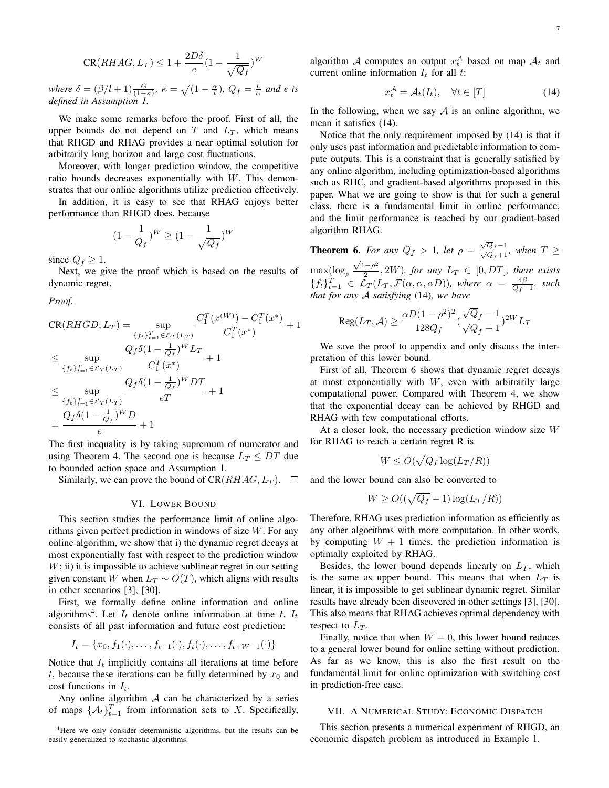$$
CR(RHAG, L_T) \le 1 + \frac{2D\delta}{e} \left(1 - \frac{1}{\sqrt{Q_f}}\right)^W
$$

*where*  $\delta = (\beta/l + 1) \frac{G}{(1-\kappa)}, \ \kappa = \sqrt{(1-\frac{\alpha}{l})}, \ Q_f = \frac{L}{\alpha}$  and *e* is *defined in Assumption 1.*

We make some remarks before the proof. First of all, the upper bounds do not depend on  $T$  and  $L_T$ , which means that RHGD and RHAG provides a near optimal solution for arbitrarily long horizon and large cost fluctuations.

Moreover, with longer prediction window, the competitive ratio bounds decreases exponentially with W. This demonstrates that our online algorithms utilize prediction effectively.

In addition, it is easy to see that RHAG enjoys better performance than RHGD does, because

$$
(1 - \frac{1}{Q_f})^W \ge (1 - \frac{1}{\sqrt{Q_f}})^W
$$

since  $Q_f \geq 1$ .

Next, we give the proof which is based on the results of dynamic regret.

*Proof.*

$$
CR(RHGD, L_T) = \sup_{\{f_t\}_{t=1}^T \in \mathcal{L}_T(L_T)} \frac{C_1^T(x^{(W)}) - C_1^T(x^*)}{C_1^T(x^*)} + 1
$$
  
\n
$$
\leq \sup_{\{f_t\}_{t=1}^T \in \mathcal{L}_T(L_T)} \frac{Q_f \delta(1 - \frac{1}{Q_f})^W L_T}{C_1^T(x^*)} + 1
$$
  
\n
$$
\leq \sup_{\{f_t\}_{t=1}^T \in \mathcal{L}_T(L_T)} \frac{Q_f \delta(1 - \frac{1}{Q_f})^W DT}{eT} + 1
$$
  
\n
$$
= \frac{Q_f \delta(1 - \frac{1}{Q_f})^W D}{e} + 1
$$

The first inequality is by taking supremum of numerator and using Theorem 4. The second one is because  $L<sub>T</sub> \leq DT$  due to bounded action space and Assumption 1.

Similarly, we can prove the bound of  $CR(RHAG, L_T)$ .  $\square$ 

### VI. LOWER BOUND

This section studies the performance limit of online algorithms given perfect prediction in windows of size  $W$ . For any online algorithm, we show that i) the dynamic regret decays at most exponentially fast with respect to the prediction window  $W$ ; ii) it is impossible to achieve sublinear regret in our setting given constant W when  $L_T \sim O(T)$ , which aligns with results in other scenarios [3], [30].

First, we formally define online information and online algorithms<sup>4</sup>. Let  $I_t$  denote online information at time t.  $I_t$ consists of all past information and future cost prediction:

$$
I_t = \{x_0, f_1(\cdot), \dots, f_{t-1}(\cdot), f_t(\cdot), \dots, f_{t+W-1}(\cdot)\}
$$

Notice that  $I_t$  implicitly contains all iterations at time before t, because these iterations can be fully determined by  $x_0$  and cost functions in  $I_t$ .

Any online algorithm  $A$  can be characterized by a series of maps  $\{\mathcal{A}_t\}_{t=1}^T$  from information sets to X. Specifically,

algorithm A computes an output  $x_t^{\mathcal{A}}$  based on map  $\mathcal{A}_t$  and current online information  $I_t$  for all t:

$$
x_t^{\mathcal{A}} = \mathcal{A}_t(I_t), \quad \forall t \in [T]
$$
 (14)

In the following, when we say  $A$  is an online algorithm, we mean it satisfies (14).

Notice that the only requirement imposed by (14) is that it only uses past information and predictable information to compute outputs. This is a constraint that is generally satisfied by any online algorithm, including optimization-based algorithms such as RHC, and gradient-based algorithms proposed in this paper. What we are going to show is that for such a general class, there is a fundamental limit in online performance, and the limit performance is reached by our gradient-based algorithm RHAG.

**Theorem 6.** *For any*  $Q_f > 1$ *, let*  $\rho =$  $\frac{\sqrt{Q}_f - 1}{\sqrt{Q}_f + 1}$ , when  $T \ge$  $\max(\log_{\rho}$  $\sqrt{1-\rho^2}$  $\frac{(-p)}{2}$ , 2W), for any  $L_T \in [0, DT]$ , there exists  ${f_t}_{t=1}^T \in \mathcal{L}_T(L_T, \mathcal{F}(\alpha, \alpha, \alpha D)),$  where  $\alpha = \frac{4\beta}{Q_f - 1}$ , such *that for any* A *satisfying* (14)*, we have*

$$
\operatorname{Reg}(L_T, \mathcal{A}) \ge \frac{\alpha D(1 - \rho^2)^2}{128Q_f} \left(\frac{\sqrt{Q}_f - 1}{\sqrt{Q}_f + 1}\right)^{2W} L_T
$$

We save the proof to appendix and only discuss the interpretation of this lower bound.

First of all, Theorem 6 shows that dynamic regret decays at most exponentially with  $W$ , even with arbitrarily large computational power. Compared with Theorem 4, we show that the exponential decay can be achieved by RHGD and RHAG with few computational efforts.

At a closer look, the necessary prediction window size W for RHAG to reach a certain regret R is

$$
W \le O(\sqrt{Q_f} \log(L_T/R))
$$

and the lower bound can also be converted to

$$
W \ge O((\sqrt{Q_f} - 1)\log(L_T/R))
$$

Therefore, RHAG uses prediction information as efficiently as any other algorithms with more computation. In other words, by computing  $W + 1$  times, the prediction information is optimally exploited by RHAG.

Besides, the lower bound depends linearly on  $L_T$ , which is the same as upper bound. This means that when  $L_T$  is linear, it is impossible to get sublinear dynamic regret. Similar results have already been discovered in other settings [3], [30]. This also means that RHAG achieves optimal dependency with respect to  $L_T$ .

Finally, notice that when  $W = 0$ , this lower bound reduces to a general lower bound for online setting without prediction. As far as we know, this is also the first result on the fundamental limit for online optimization with switching cost in prediction-free case.

## VII. A NUMERICAL STUDY: ECONOMIC DISPATCH

This section presents a numerical experiment of RHGD, an economic dispatch problem as introduced in Example 1.

<sup>&</sup>lt;sup>4</sup>Here we only consider deterministic algorithms, but the results can be easily generalized to stochastic algorithms.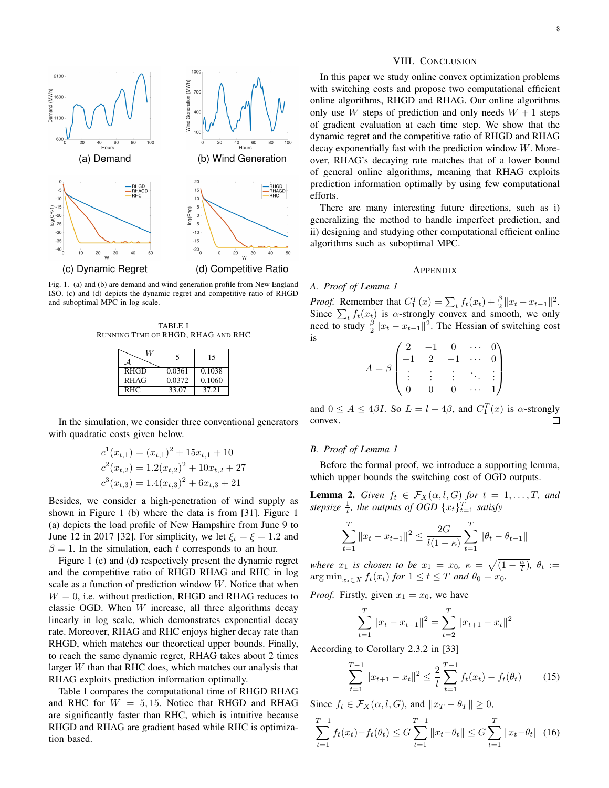

Fig. 1. (a) and (b) are demand and wind generation profile from New England ISO. (c) and (d) depicts the dynamic regret and competitive ratio of RHGD and suboptimal MPC in log scale.

TABLE I RUNNING TIME OF RHGD, RHAG AND RHC

|             | 5      | 15     |
|-------------|--------|--------|
| <b>RHGD</b> | 0.0361 | 0.1038 |
| <b>RHAG</b> | 0.0372 | 0.1060 |
| RHC.        | 33.07  | 37.21  |

In the simulation, we consider three conventional generators with quadratic costs given below.

$$
c^{1}(x_{t,1}) = (x_{t,1})^{2} + 15x_{t,1} + 10
$$
  
\n
$$
c^{2}(x_{t,2}) = 1.2(x_{t,2})^{2} + 10x_{t,2} + 27
$$
  
\n
$$
c^{3}(x_{t,3}) = 1.4(x_{t,3})^{2} + 6x_{t,3} + 21
$$

Besides, we consider a high-penetration of wind supply as shown in Figure 1 (b) where the data is from [31]. Figure 1 (a) depicts the load profile of New Hampshire from June 9 to June 12 in 2017 [32]. For simplicity, we let  $\xi_t = \xi = 1.2$  and  $\beta = 1$ . In the simulation, each t corresponds to an hour.

Figure 1 (c) and (d) respectively present the dynamic regret and the competitive ratio of RHGD RHAG and RHC in log scale as a function of prediction window W. Notice that when  $W = 0$ , i.e. without prediction, RHGD and RHAG reduces to classic OGD. When  $W$  increase, all three algorithms decay linearly in log scale, which demonstrates exponential decay rate. Moreover, RHAG and RHC enjoys higher decay rate than RHGD, which matches our theoretical upper bounds. Finally, to reach the same dynamic regret, RHAG takes about 2 times larger W than that RHC does, which matches our analysis that RHAG exploits prediction information optimally.

Table I compares the computational time of RHGD RHAG and RHC for  $W = 5, 15$ . Notice that RHGD and RHAG are significantly faster than RHC, which is intuitive because RHGD and RHAG are gradient based while RHC is optimization based.

# VIII. CONCLUSION

In this paper we study online convex optimization problems with switching costs and propose two computational efficient online algorithms, RHGD and RHAG. Our online algorithms only use W steps of prediction and only needs  $W + 1$  steps of gradient evaluation at each time step. We show that the dynamic regret and the competitive ratio of RHGD and RHAG decay exponentially fast with the prediction window W. Moreover, RHAG's decaying rate matches that of a lower bound of general online algorithms, meaning that RHAG exploits prediction information optimally by using few computational efforts.

There are many interesting future directions, such as i) generalizing the method to handle imperfect prediction, and ii) designing and studying other computational efficient online algorithms such as suboptimal MPC.

## APPENDIX

#### *A. Proof of Lemma 1*

*Proof.* Remember that  $C_1^T(x) = \sum_t f_t(x_t) + \frac{\beta}{2} ||x_t - x_{t-1}||^2$ . Since  $\sum_t f_t(x_t)$  is  $\alpha$ -strongly convex and smooth, we only need to study  $\frac{\beta}{2}||x_t - x_{t-1}||^2$ . The Hessian of switching cost is

$$
A = \beta \begin{pmatrix} 2 & -1 & 0 & \cdots & 0 \\ -1 & 2 & -1 & \cdots & 0 \\ \vdots & \vdots & \vdots & \ddots & \vdots \\ 0 & 0 & 0 & \cdots & 1 \end{pmatrix}
$$

and  $0 \le A \le 4\beta I$ . So  $L = l + 4\beta$ , and  $C_1^T(x)$  is  $\alpha$ -strongly convex.  $\Box$ 

# *B. Proof of Lemma 1*

Before the formal proof, we introduce a supporting lemma, which upper bounds the switching cost of OGD outputs.

**Lemma 2.** *Given*  $f_t \in \mathcal{F}_X(\alpha, l, G)$  *for*  $t = 1, \ldots, T$ *, and* stepsize  $\frac{1}{l}$ , the outputs of OGD  $\{x_t\}_{t=1}^T$  satisfy

$$
\sum_{t=1}^{T} \|x_t - x_{t-1}\|^2 \le \frac{2G}{l(1-\kappa)} \sum_{t=1}^{T} \|\theta_t - \theta_{t-1}\|
$$

*where*  $x_1$  *is chosen to be*  $x_1 = x_0$ ,  $\kappa = \sqrt{\left(1 - \frac{\alpha}{l}\right)}$ ,  $\theta_t :=$  $\arg \min_{x_t \in X} f_t(x_t)$  *for*  $1 \le t \le T$  *and*  $\theta_0 = x_0$ *.* 

*Proof.* Firstly, given  $x_1 = x_0$ , we have

$$
\sum_{t=1}^{T} \|x_t - x_{t-1}\|^2 = \sum_{t=2}^{T} \|x_{t+1} - x_t\|^2
$$

According to Corollary 2.3.2 in [33]

$$
\sum_{t=1}^{T-1} \|x_{t+1} - x_t\|^2 \le \frac{2}{l} \sum_{t=1}^{T-1} f_t(x_t) - f_t(\theta_t)
$$
 (15)

Since  $f_t \in \mathcal{F}_X(\alpha, l, G)$ , and  $||x_T - \theta_T|| \geq 0$ ,

$$
\sum_{t=1}^{T-1} f_t(x_t) - f_t(\theta_t) \le G \sum_{t=1}^{T-1} \|x_t - \theta_t\| \le G \sum_{t=1}^{T} \|x_t - \theta_t\|
$$
 (16)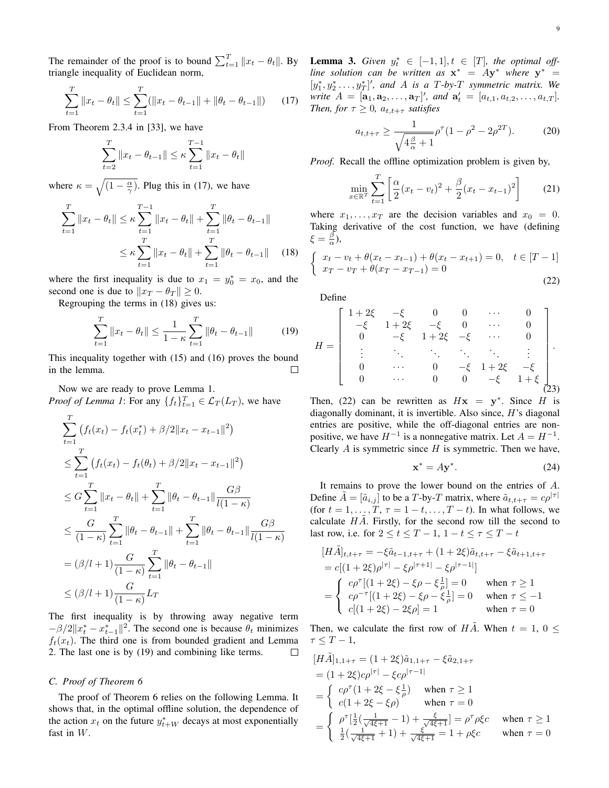The remainder of the proof is to bound  $\sum_{t=1}^{T} ||x_t - \theta_t||$ . By triangle inequality of Euclidean norm,

$$
\sum_{t=1}^{T} \|x_t - \theta_t\| \le \sum_{t=1}^{T} (\|x_t - \theta_{t-1}\| + \|\theta_t - \theta_{t-1}\|)
$$
 (17)

From Theorem 2.3.4 in [33], we have

$$
\sum_{t=2}^{T} \|x_t - \theta_{t-1}\| \le \kappa \sum_{t=1}^{T-1} \|x_t - \theta_t\|
$$

where  $\kappa = \sqrt{\left(1 - \frac{\alpha}{\gamma}\right)}$ . Plug this in (17), we have

$$
\sum_{t=1}^{T} \|x_t - \theta_t\| \le \kappa \sum_{t=1}^{T-1} \|x_t - \theta_t\| + \sum_{t=1}^{T} \|\theta_t - \theta_{t-1}\|
$$
  

$$
\le \kappa \sum_{t=1}^{T} \|x_t - \theta_t\| + \sum_{t=1}^{T} \|\theta_t - \theta_{t-1}\|
$$
 (18)

where the first inequality is due to  $x_1 = y_0^* = x_0$ , and the second one is due to  $||x_T - \theta_T|| \ge 0$ .

Regrouping the terms in (18) gives us:

$$
\sum_{t=1}^{T} \|x_t - \theta_t\| \le \frac{1}{1 - \kappa} \sum_{t=1}^{T} \|\theta_t - \theta_{t-1}\| \tag{19}
$$

This inequality together with (15) and (16) proves the bound in the lemma.  $\Box$ 

Now we are ready to prove Lemma 1.

*Proof of Lemma 1*: For any  $\{f_t\}_{t=1}^T \in \mathcal{L}_T(L_T)$ , we have

$$
\sum_{t=1}^{T} (f_t(x_t) - f_t(x_t^*) + \beta/2 \|x_t - x_{t-1}\|^2)
$$
\n
$$
\leq \sum_{t=1}^{T} (f_t(x_t) - f_t(\theta_t) + \beta/2 \|x_t - x_{t-1}\|^2)
$$
\n
$$
\leq G \sum_{t=1}^{T} \|x_t - \theta_t\| + \sum_{t=1}^{T} \|\theta_t - \theta_{t-1}\| \frac{G\beta}{l(1-\kappa)}
$$
\n
$$
\leq \frac{G}{(1-\kappa)} \sum_{t=1}^{T} \|\theta_t - \theta_{t-1}\| + \sum_{t=1}^{T} \|\theta_t - \theta_{t-1}\| \frac{G\beta}{l(1-\kappa)}
$$
\n
$$
= (\beta/l + 1) \frac{G}{(1-\kappa)} \sum_{t=1}^{T} \|\theta_t - \theta_{t-1}\|
$$
\n
$$
\leq (\beta/l + 1) \frac{G}{(1-\kappa)} L_T
$$

The first inequality is by throwing away negative term  $-\beta/2||x_t^* - x_{t-1}^*||^2$ . The second one is because  $\theta_t$  minimizes  $f_t(x_t)$ . The third one is from bounded gradient and Lemma 2. The last one is by (19) and combining like terms.  $\Box$ 

#### *C. Proof of Theorem 6*

The proof of Theorem 6 relies on the following Lemma. It shows that, in the optimal offline solution, the dependence of the action  $x_t$  on the future  $y_{t+W}^*$  decays at most exponentially fast in W.

**Lemma 3.** *Given*  $y_t^* \in [-1,1], t \in [T]$ *, the optimal offline solution can be written as*  $x^* = Ay^*$  *where*  $y^* =$  $[y_1^*, y_2^*, \ldots, y_T^*]'$ , and A is a T-by-T symmetric matrix. We *write*  $A = [\mathbf{a}_1, \mathbf{a}_2, \dots, \mathbf{a}_T]'$ , and  $\mathbf{a}'_t = [a_{t,1}, a_{t,2}, \dots, a_{t,T}]$ . *Then, for*  $\tau \geq 0$ *,*  $a_{t,t+\tau}$  *satisfies* 

$$
a_{t,t+\tau} \ge \frac{1}{\sqrt{4\frac{\beta}{\alpha} + 1}} \rho^{\tau} (1 - \rho^2 - 2\rho^{2T}).
$$
 (20)

*Proof.* Recall the offline optimization problem is given by,

$$
\min_{x \in \mathbb{R}^T} \sum_{t=1}^T \left[ \frac{\alpha}{2} (x_t - v_t)^2 + \frac{\beta}{2} (x_t - x_{t-1})^2 \right] \tag{21}
$$

where  $x_1, \ldots, x_T$  are the decision variables and  $x_0 = 0$ . Taking derivative of the cost function, we have (defining  $\xi = \frac{\beta}{\alpha},$ 

$$
\begin{cases}\n x_t - v_t + \theta(x_t - x_{t-1}) + \theta(x_t - x_{t+1}) = 0, \quad t \in [T-1] \\
 x_T - v_T + \theta(x_T - x_{T-1}) = 0\n\end{cases}
$$
\n(22)

Define

$$
H = \begin{bmatrix} 1+2\xi & -\xi & 0 & 0 & \cdots & 0 \\ -\xi & 1+2\xi & -\xi & 0 & \cdots & 0 \\ 0 & -\xi & 1+2\xi & -\xi & \cdots & 0 \\ \vdots & \ddots & \ddots & \ddots & \ddots & \vdots \\ 0 & \cdots & 0 & -\xi & 1+2\xi & -\xi \\ 0 & \cdots & 0 & 0 & -\xi & 1+\xi \end{bmatrix}.
$$
 (23)

Then, (22) can be rewritten as  $Hx = y^*$ . Since H is diagonally dominant, it is invertible. Also since, H's diagonal entries are positive, while the off-diagonal entries are nonpositive, we have  $H^{-1}$  is a nonnegative matrix. Let  $A = H^{-1}$ . Clearly  $A$  is symmetric since  $H$  is symmetric. Then we have,

$$
\mathbf{x}^* = A\mathbf{y}^*.\tag{24}
$$

It remains to prove the lower bound on the entries of A. Define  $\tilde{A} = [\tilde{a}_{i,j}]$  to be a T-by-T matrix, where  $\tilde{a}_{t,t+\tau} = c\rho^{|\tau|}$ (for  $t = 1, \ldots, T$ ,  $\tau = 1 - t, \ldots, T - t$ ). In what follows, we calculate  $H\ddot{A}$ . Firstly, for the second row till the second to last row, i.e. for  $2 \le t \le T - 1$ ,  $1 - t \le \tau \le T - t$ 

$$
[H\tilde{A}]_{t,t+\tau} = -\xi \tilde{a}_{t-1,t+\tau} + (1+2\xi)\tilde{a}_{t,t+\tau} - \xi \tilde{a}_{t+1,t+\tau}
$$
  
\n
$$
= c[(1+2\xi)\rho^{|\tau|} - \xi \rho^{|\tau+1|} - \xi \rho^{|\tau-1|}]
$$
  
\n
$$
= \begin{cases} c\rho^{\tau}[(1+2\xi) - \xi\rho - \xi\frac{1}{\rho}] = 0 & \text{when } \tau \ge 1\\ c\rho^{-\tau}[(1+2\xi) - \xi\rho - \xi\frac{1}{\rho}] = 0 & \text{when } \tau \le -1\\ c[(1+2\xi) - 2\xi\rho] = 1 & \text{when } \tau = 0 \end{cases}
$$

Then, we calculate the first row of HA. When  $t = 1, 0 \le$  $\tau \leq T-1$ ,

$$
[H\tilde{A}]_{1,1+\tau} = (1+2\xi)\tilde{a}_{1,1+\tau} - \xi\tilde{a}_{2,1+\tau}
$$
  
\n
$$
= (1+2\xi)c\rho^{|\tau|} - \xi c\rho^{|\tau-1|}
$$
  
\n
$$
= \begin{cases} c\rho^{\tau}(1+2\xi-\xi\frac{1}{\rho}) & \text{when } \tau \ge 1\\ c(1+2\xi-\xi\rho) & \text{when } \tau = 0 \end{cases}
$$
  
\n
$$
= \begin{cases} \rho^{\tau}[\frac{1}{2}(\frac{1}{\sqrt{4\xi+1}}-1) + \frac{\xi}{\sqrt{4\xi+1}}] = \rho^{\tau}\rho\xi c & \text{when } \tau \ge 1\\ \frac{1}{2}(\frac{1}{\sqrt{4\xi+1}}+1) + \frac{\xi}{\sqrt{4\xi+1}} = 1 + \rho\xi c & \text{when } \tau = 0 \end{cases}
$$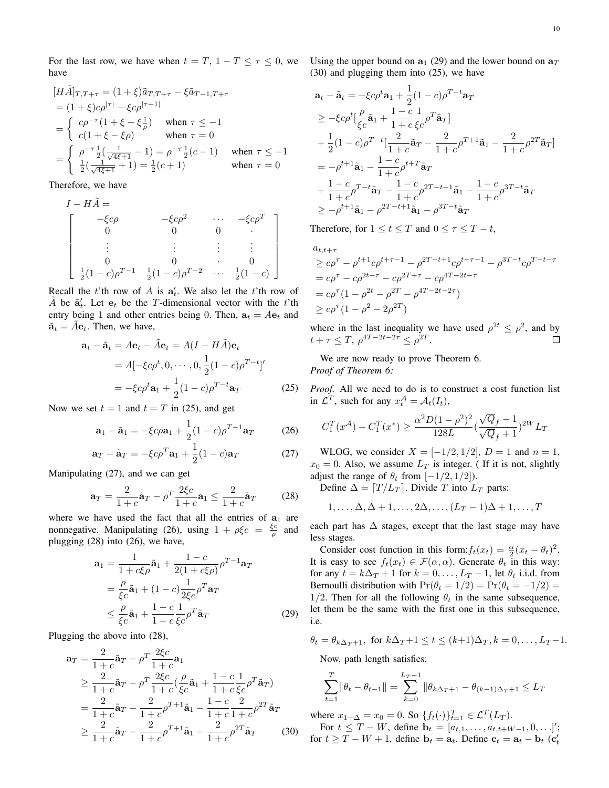For the last row, we have when  $t = T$ ,  $1 - T \le \tau \le 0$ , we have

$$
[H\tilde{A}]_{T,T+\tau} = (1+\xi)\tilde{a}_{T,T+\tau} - \xi\tilde{a}_{T-1,T+\tau}
$$
  
\n
$$
= (1+\xi)c\rho^{|\tau|} - \xi c\rho^{|\tau+1|}
$$
  
\n
$$
= \begin{cases} c\rho^{-\tau}(1+\xi-\xi\frac{1}{\rho}) & \text{when } \tau \le -1 \\ c(1+\xi-\xi\rho) & \text{when } \tau = 0 \end{cases}
$$
  
\n
$$
= \begin{cases} \rho^{-\tau}\frac{1}{2}(\frac{1}{\sqrt{4\xi+1}}-1) = \rho^{-\tau}\frac{1}{2}(c-1) & \text{when } \tau \le -1 \\ \frac{1}{2}(\frac{1}{\sqrt{4\xi+1}}+1) = \frac{1}{2}(c+1) & \text{when } \tau = 0 \end{cases}
$$

Therefore, we have

$$
I - H\tilde{A} =
$$
\n
$$
\begin{bmatrix}\n-\xi c\rho & -\xi c\rho^2 & \cdots & -\xi c\rho^T \\
0 & 0 & 0 & \cdot \\
\vdots & \vdots & \vdots & \vdots \\
0 & 0 & \cdot & 0 \\
\frac{1}{2}(1-c)\rho^{T-1} & \frac{1}{2}(1-c)\rho^{T-2} & \cdots & \frac{1}{2}(1-c)\n\end{bmatrix}
$$

Recall the t'th row of A is  $a'_t$ . We also let the t'th row of  $\tilde{A}$  be  $\tilde{a}'_t$ . Let  $e_t$  be the T-dimensional vector with the t'th entry being 1 and other entries being 0. Then,  $a_t = Ae_t$  and  $\tilde{\mathbf{a}}_t = A\mathbf{e}_t$ . Then, we have,

$$
\mathbf{a}_t - \tilde{\mathbf{a}}_t = A\mathbf{e}_t - \tilde{A}\mathbf{e}_t = A(I - H\tilde{A})\mathbf{e}_t
$$
  
=  $A[-\xi c\rho^t, 0, \cdots, 0, \frac{1}{2}(1 - c)\rho^{T-t}]'$   
=  $-\xi c\rho^t \mathbf{a}_1 + \frac{1}{2}(1 - c)\rho^{T-t} \mathbf{a}_T$  (25)

Now we set  $t = 1$  and  $t = T$  in (25), and get

$$
\mathbf{a}_1 - \tilde{\mathbf{a}}_1 = -\xi c \rho \mathbf{a}_1 + \frac{1}{2} (1 - c) \rho^{T-1} \mathbf{a}_T \tag{26}
$$

$$
\mathbf{a}_T - \tilde{\mathbf{a}}_T = -\xi c\rho^T \mathbf{a}_1 + \frac{1}{2}(1-c)\mathbf{a}_T \tag{27}
$$

Manipulating (27), and we can get

$$
\mathbf{a}_T = \frac{2}{1+c}\tilde{\mathbf{a}}_T - \rho^T \frac{2\xi c}{1+c} \mathbf{a}_1 \le \frac{2}{1+c}\tilde{\mathbf{a}}_T \tag{28}
$$

where we have used the fact that all the entries of  $a_1$  are nonnegative. Manipulating (26), using  $1 + \rho \xi c = \frac{\xi c}{\rho}$  and plugging (28) into (26), we have,

$$
\mathbf{a}_1 = \frac{1}{1 + c\xi\rho} \tilde{\mathbf{a}}_1 + \frac{1 - c}{2(1 + c\xi\rho)} \rho^{T-1} \mathbf{a}_T
$$
  
=  $\frac{\rho}{\xi c} \tilde{\mathbf{a}}_1 + (1 - c) \frac{1}{2\xi c} \rho^T \mathbf{a}_T$   
 $\leq \frac{\rho}{\xi c} \tilde{\mathbf{a}}_1 + \frac{1 - c}{1 + c} \frac{1}{\xi c} \rho^T \tilde{\mathbf{a}}_T$  (29)

Plugging the above into (28),

$$
\mathbf{a}_{T} = \frac{2}{1+c} \tilde{\mathbf{a}}_{T} - \rho^{T} \frac{2\xi c}{1+c} \mathbf{a}_{1}
$$
\n
$$
\geq \frac{2}{1+c} \tilde{\mathbf{a}}_{T} - \rho^{T} \frac{2\xi c}{1+c} (\frac{\rho}{\xi c} \tilde{\mathbf{a}}_{1} + \frac{1-c}{1+c} \frac{1}{\xi c} \rho^{T} \tilde{\mathbf{a}}_{T})
$$
\n
$$
= \frac{2}{1+c} \tilde{\mathbf{a}}_{T} - \frac{2}{1+c} \rho^{T+1} \tilde{\mathbf{a}}_{1} - \frac{1-c}{1+c} \frac{2}{1+c} \rho^{2T} \tilde{\mathbf{a}}_{T}
$$
\n
$$
\geq \frac{2}{1+c} \tilde{\mathbf{a}}_{T} - \frac{2}{1+c} \rho^{T+1} \tilde{\mathbf{a}}_{1} - \frac{2}{1+c} \rho^{2T} \tilde{\mathbf{a}}_{T} \tag{30}
$$

Using the upper bound on  $a_1$  (29) and the lower bound on  $a_T$ (30) and plugging them into (25), we have

$$
\mathbf{a}_{t} - \tilde{\mathbf{a}}_{t} = -\xi c \rho^{t} \mathbf{a}_{1} + \frac{1}{2} (1 - c) \rho^{T-t} \mathbf{a}_{T}
$$
\n
$$
\geq -\xi c \rho^{t} \left[ \frac{\rho}{\xi c} \tilde{\mathbf{a}}_{1} + \frac{1 - c}{1 + c} \frac{1}{\xi c} \rho^{T} \tilde{\mathbf{a}}_{T} \right]
$$
\n
$$
+ \frac{1}{2} (1 - c) \rho^{T-t} \left[ \frac{2}{1 + c} \tilde{\mathbf{a}}_{T} - \frac{2}{1 + c} \rho^{T+1} \tilde{\mathbf{a}}_{1} - \frac{2}{1 + c} \rho^{2T} \tilde{\mathbf{a}}_{T} \right]
$$
\n
$$
= -\rho^{t+1} \tilde{\mathbf{a}}_{1} - \frac{1 - c}{1 + c} \rho^{t+T} \tilde{\mathbf{a}}_{T}
$$
\n
$$
+ \frac{1 - c}{1 + c} \rho^{T-t} \tilde{\mathbf{a}}_{T} - \frac{1 - c}{1 + c} \rho^{2T-t+1} \tilde{\mathbf{a}}_{1} - \frac{1 - c}{1 + c} \rho^{3T-t} \tilde{\mathbf{a}}_{T}
$$
\n
$$
\geq -\rho^{t+1} \tilde{\mathbf{a}}_{1} - \rho^{2T-t+1} \tilde{\mathbf{a}}_{1} - \rho^{3T-t} \tilde{\mathbf{a}}_{T}
$$

Therefore, for  $1 \le t \le T$  and  $0 \le \tau \le T - t$ ,

$$
a_{t,t+\tau}
$$
  
\n
$$
\geq c\rho^{\tau} - \rho^{t+1}c\rho^{t+\tau-1} - \rho^{2T-t+1}c\rho^{t+\tau-1} - \rho^{3T-t}c\rho^{T-t-\tau}
$$
  
\n
$$
= c\rho^{\tau} - c\rho^{2t+\tau} - c\rho^{2T+\tau} - c\rho^{4T-2t-\tau}
$$
  
\n
$$
= c\rho^{\tau}(1 - \rho^{2t} - \rho^{2T} - \rho^{4T-2t-2\tau})
$$
  
\n
$$
\geq c\rho^{\tau}(1 - \rho^{2} - 2\rho^{2T})
$$

where in the last inequality we have used  $\rho^{2t} \leq \rho^2$ , and by  $t + \tau \leq T, \, \rho^{4T - 2t - 2\tau} \leq \rho^{2T}.$ 

We are now ready to prove Theorem 6. *Proof of Theorem 6:*

*Proof.* All we need to do is to construct a cost function list in  $\mathcal{L}^T$ , such for any  $x_t^{\mathcal{A}} = \mathcal{A}_t(I_t)$ ,

$$
C_1^T(x^{\mathcal{A}}) - C_1^T(x^*) \ge \frac{\alpha^2 D(1 - \rho^2)^2}{128L} (\frac{\sqrt{Q}_f - 1}{\sqrt{Q}_f + 1})^{2W} L_T
$$

WLOG, we consider  $X = [-1/2, 1/2], D = 1$  and  $n = 1$ ,  $x_0 = 0$ . Also, we assume  $L_T$  is integer. (If it is not, slightly adjust the range of  $\theta_t$  from  $[-1/2, 1/2]$ ).

Define  $\Delta = [T / L_T]$ . Divide T into  $L_T$  parts:

 $1, \ldots, \Delta, \Delta + 1, \ldots, 2\Delta, \ldots, (L_T - 1)\Delta + 1, \ldots, T$ 

each part has  $\Delta$  stages, except that the last stage may have less stages.

Consider cost function in this form:  $f_t(x_t) = \frac{\alpha}{2}(x_t - \theta_t)^2$ . It is easy to see  $f_t(x_t) \in \mathcal{F}(\alpha, \alpha)$ . Generate  $\theta_t$  in this way: for any  $t = k\Delta_T + 1$  for  $k = 0, \ldots, L_T - 1$ , let  $\theta_t$  i.i.d. from Bernoulli distribution with  $Pr(\theta_t = 1/2) = Pr(\theta_t = -1/2)$  = 1/2. Then for all the following  $\theta_t$  in the same subsequence, let them be the same with the first one in this subsequence, i.e.

$$
\theta_t = \theta_{k\Delta_T + 1}, \text{ for } k\Delta_T + 1 \le t \le (k+1)\Delta_T, k = 0, \dots, L_T - 1.
$$

Now, path length satisfies:

$$
\sum_{t=1}^{T} \|\theta_t - \theta_{t-1}\| = \sum_{k=0}^{L_T - 1} \|\theta_{k\Delta_T + 1} - \theta_{(k-1)\Delta_T + 1} \le L_T
$$

where  $x_{1-\Delta} = x_0 = 0$ . So  $\{f_t(\cdot)\}_{t=1}^T \in \mathcal{L}^T(L_T)$ .

For  $t \leq T - W$ , define  $\mathbf{b}_t = [a_{t,1}, \dots, a_{t,t+W-1}, 0, \dots]$ ; for  $t \geq T - W + 1$ , define  $\mathbf{b}_t = \mathbf{a}_t$ . Define  $\mathbf{c}_t = \mathbf{a}_t - \mathbf{b}_t$  ( $\mathbf{c}'_t$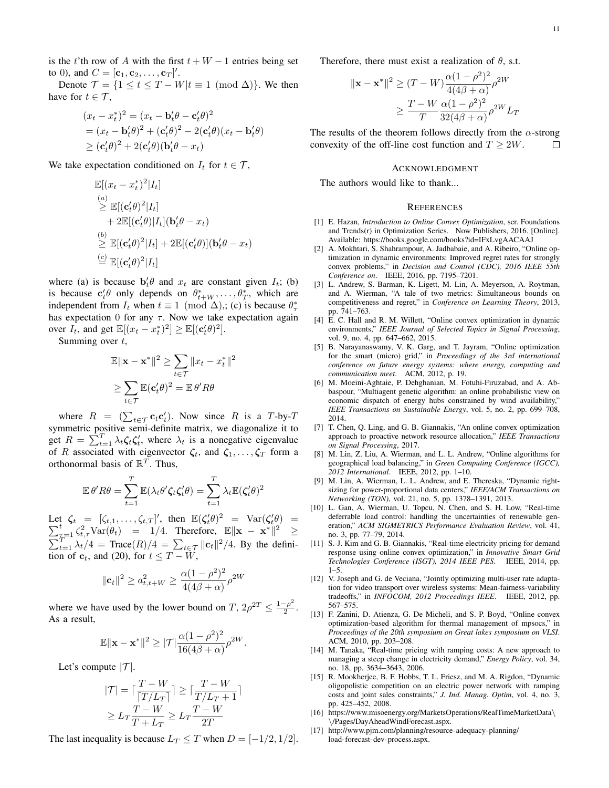is the t'th row of A with the first  $t + W - 1$  entries being set to 0), and  $C = [\mathbf{c}_1, \mathbf{c}_2, \dots, \mathbf{c}_T]'.$ 

Denote  $\mathcal{T} = \{1 \le t \le T - W | t \equiv 1 \pmod{\Delta}\}$ . We then have for  $t \in \mathcal{T}$ ,

$$
(xt - xt*)2 = (xt - \mathbf{b}'t \theta - \mathbf{c}'t \theta)2
$$
  
= (x<sub>t</sub> - \mathbf{b}'<sub>t</sub> \theta)<sup>2</sup> + (\mathbf{c}'<sub>t</sub> \theta)<sup>2</sup> - 2( $\mathbf{c}'t \theta$ )(x<sub>t</sub> - \mathbf{b}'<sub>t</sub> \theta)  
\ge (\mathbf{c}'<sub>t</sub> \theta)<sup>2</sup> + 2( $\mathbf{c}'t \theta$ )(\mathbf{b}'<sub>t</sub> \theta - x<sub>t</sub>)

We take expectation conditioned on  $I_t$  for  $t \in \mathcal{T}$ ,

$$
\mathbb{E}[(x_t - x_t^*)^2 | I_t] \n\overset{(a)}{\geq} \mathbb{E}[(\mathbf{c}'_t \theta)^2 | I_t] \n+ 2\mathbb{E}[(\mathbf{c}'_t \theta)|I_t](\mathbf{b}'_t \theta - x_t) \n\overset{(b)}{\geq} \mathbb{E}[(\mathbf{c}'_t \theta)^2 | I_t] + 2\mathbb{E}[(\mathbf{c}'_t \theta)](\mathbf{b}'_t \theta - x_t) \n\overset{(c)}{\leq} \mathbb{E}[(\mathbf{c}'_t \theta)^2 | I_t]
$$

where (a) is because  $\mathbf{b}'_t \theta$  and  $x_t$  are constant given  $I_t$ ; (b) is because  $\mathbf{c}'_t \theta$  only depends on  $\theta^*_{t+W}, \dots, \theta^*_T$ , which are independent from  $I_t$  when  $t \equiv 1 \pmod{\Delta}$ ,; (c) is because  $\theta^*_\tau$ has expectation 0 for any  $\tau$ . Now we take expectation again over  $I_t$ , and get  $\mathbb{E}[(x_t - x_t^*)^2] \geq \mathbb{E}[(\mathbf{c}'_t \theta)^2]$ .

Summing over  $t$ ,

$$
\mathbb{E} \|\mathbf{x} - \mathbf{x}^*\|^2 \ge \sum_{t \in \mathcal{T}} \|x_t - x_t^*\|
$$
  

$$
\ge \sum_{t \in \mathcal{T}} \mathbb{E}(\mathbf{c}'_t \theta)^2 = \mathbb{E} \theta' R \theta
$$

2

where  $R = (\sum_{t \in \mathcal{T}} c_t c_t')$ . Now since R is a T-by-T symmetric positive semi-definite matrix, we diagonalize it to get  $R = \sum_{t=1}^{T} \lambda_t \zeta_t \zeta_t'$ , where  $\lambda_t$  is a nonegative eigenvalue of R associated with eigenvector  $\zeta_t$ , and  $\zeta_1, \ldots, \zeta_T$  form a orthonormal basis of  $\mathbb{R}^T$ . Thus,

$$
\mathbb{E} \theta' R \theta = \sum_{t=1}^{T} \mathbb{E} (\lambda_t \theta' \zeta_t \zeta_t' \theta) = \sum_{t=1}^{T} \lambda_t \mathbb{E} (\zeta_t' \theta)^2
$$

Let ζ<sup>t</sup> = [ζt,1, . . . , ζt,T ] 0 , then E(ζ 0 t θ) <sup>2</sup> = Var(ζ 0 t P  $\begin{array}{rcl} \mathfrak{t} & \boldsymbol{\zeta}_t &= [ \zeta_{t,1}, \ldots, \zeta_{t,T} ]', \text{ then } \ \mathbb{E}( \boldsymbol{\zeta}_t' \theta )^2 \ = \ \text{Var}( \boldsymbol{\zeta}_t' \theta ) \ &= \ \frac{t}{\tau - 1} \zeta_{t,\tau}^2 \text{Var}(\theta_t) \ = \ \ 1/4. \ \ \text{Therefore, } \ \mathbb{E} \| \mathbf{x} \ - \ \mathbf{x}^* \|^2 \ \geq \ \end{array}$  $\sum_{t=1}^{T} \lambda_t/4 = \text{Trace}(R)/4 = \sum_{t \in \mathcal{T}} ||c_t||^2/4$ . By the definition of  $c_t$ , and (20), for  $t \leq T - W$ ,

$$
\|\mathbf{c}_t\|^2 \ge a_{t,t+W}^2 \ge \frac{\alpha(1-\rho^2)^2}{4(4\beta+\alpha)}\rho^{2W}
$$

where we have used by the lower bound on T,  $2\rho^{2T} \leq \frac{1-\rho^2}{2}$  $\frac{\overline{\rho}}{2}$ . As a result,

$$
\mathbb{E}\|\mathbf{x}-\mathbf{x}^*\|^2 \geq |\mathcal{T}|\frac{\alpha(1-\rho^2)^2}{16(4\beta+\alpha)}\rho^{2W}.
$$

Let's compute  $|\mathcal{T}|$ .

$$
|{\cal T}| = \lceil \frac{T - W}{\lceil T/L_T \rceil} \rceil \ge \lceil \frac{T - W}{T/L_T + 1} \rceil
$$
  

$$
\ge L_T \frac{T - W}{T + L_T} \ge L_T \frac{T - W}{2T}
$$

The last inequality is because  $L_T \leq T$  when  $D = [-1/2, 1/2]$ .

Therefore, there must exist a realization of  $\theta$ , s.t.

$$
\|\mathbf{x} - \mathbf{x}^*\|^2 \ge (T - W) \frac{\alpha (1 - \rho^2)^2}{4(4\beta + \alpha)} \rho^{2W}
$$
  
 
$$
\ge \frac{T - W}{T} \frac{\alpha (1 - \rho^2)^2}{32(4\beta + \alpha)} \rho^{2W} L_T
$$

The results of the theorem follows directly from the  $\alpha$ -strong convexity of the off-line cost function and  $T > 2W$ .  $\Box$ 

#### ACKNOWLEDGMENT

The authors would like to thank...

#### **REFERENCES**

- [1] E. Hazan, *Introduction to Online Convex Optimization*, ser. Foundations and Trends(r) in Optimization Series. Now Publishers, 2016. [Online]. Available: https://books.google.com/books?id=IFxLvgAACAAJ
- [2] A. Mokhtari, S. Shahrampour, A. Jadbabaie, and A. Ribeiro, "Online optimization in dynamic environments: Improved regret rates for strongly convex problems," in *Decision and Control (CDC), 2016 IEEE 55th Conference on*. IEEE, 2016, pp. 7195–7201.
- [3] L. Andrew, S. Barman, K. Ligett, M. Lin, A. Meyerson, A. Roytman, and A. Wierman, "A tale of two metrics: Simultaneous bounds on competitiveness and regret," in *Conference on Learning Theory*, 2013, pp. 741–763.
- [4] E. C. Hall and R. M. Willett, "Online convex optimization in dynamic environments," *IEEE Journal of Selected Topics in Signal Processing*, vol. 9, no. 4, pp. 647–662, 2015.
- [5] B. Narayanaswamy, V. K. Garg, and T. Jayram, "Online optimization for the smart (micro) grid," in *Proceedings of the 3rd international conference on future energy systems: where energy, computing and communication meet*. ACM, 2012, p. 19.
- [6] M. Moeini-Aghtaie, P. Dehghanian, M. Fotuhi-Firuzabad, and A. Abbaspour, "Multiagent genetic algorithm: an online probabilistic view on economic dispatch of energy hubs constrained by wind availability," *IEEE Transactions on Sustainable Energy*, vol. 5, no. 2, pp. 699–708, 2014.
- [7] T. Chen, Q. Ling, and G. B. Giannakis, "An online convex optimization approach to proactive network resource allocation," *IEEE Transactions on Signal Processing*, 2017.
- [8] M. Lin, Z. Liu, A. Wierman, and L. L. Andrew, "Online algorithms for geographical load balancing," in *Green Computing Conference (IGCC), 2012 International*. IEEE, 2012, pp. 1–10.
- [9] M. Lin, A. Wierman, L. L. Andrew, and E. Thereska, "Dynamic rightsizing for power-proportional data centers," *IEEE/ACM Transactions on Networking (TON)*, vol. 21, no. 5, pp. 1378–1391, 2013.
- [10] L. Gan, A. Wierman, U. Topcu, N. Chen, and S. H. Low, "Real-time deferrable load control: handling the uncertainties of renewable generation," *ACM SIGMETRICS Performance Evaluation Review*, vol. 41, no. 3, pp. 77–79, 2014.
- [11] S.-J. Kim and G. B. Giannakis, "Real-time electricity pricing for demand response using online convex optimization," in *Innovative Smart Grid Technologies Conference (ISGT), 2014 IEEE PES*. IEEE, 2014, pp.  $1 - 5$ .
- [12] V. Joseph and G. de Veciana, "Jointly optimizing multi-user rate adaptation for video transport over wireless systems: Mean-fairness-variability tradeoffs," in *INFOCOM, 2012 Proceedings IEEE*. IEEE, 2012, pp. 567–575.
- [13] F. Zanini, D. Atienza, G. De Micheli, and S. P. Boyd, "Online convex optimization-based algorithm for thermal management of mpsocs," in *Proceedings of the 20th symposium on Great lakes symposium on VLSI*. ACM, 2010, pp. 203–208.
- [14] M. Tanaka, "Real-time pricing with ramping costs: A new approach to managing a steep change in electricity demand," *Energy Policy*, vol. 34, no. 18, pp. 3634–3643, 2006.
- [15] R. Mookherjee, B. F. Hobbs, T. L. Friesz, and M. A. Rigdon, "Dynamic oligopolistic competition on an electric power network with ramping costs and joint sales constraints," *J. Ind. Manag. Optim*, vol. 4, no. 3, pp. 425–452, 2008.
- [16] https://www.misoenergy.org/MarketsOperations/RealTimeMarketData\ \/Pages/DayAheadWindForecast.aspx.
- [17] http://www.pjm.com/planning/resource-adequacy-planning/ load-forecast-dev-process.aspx.